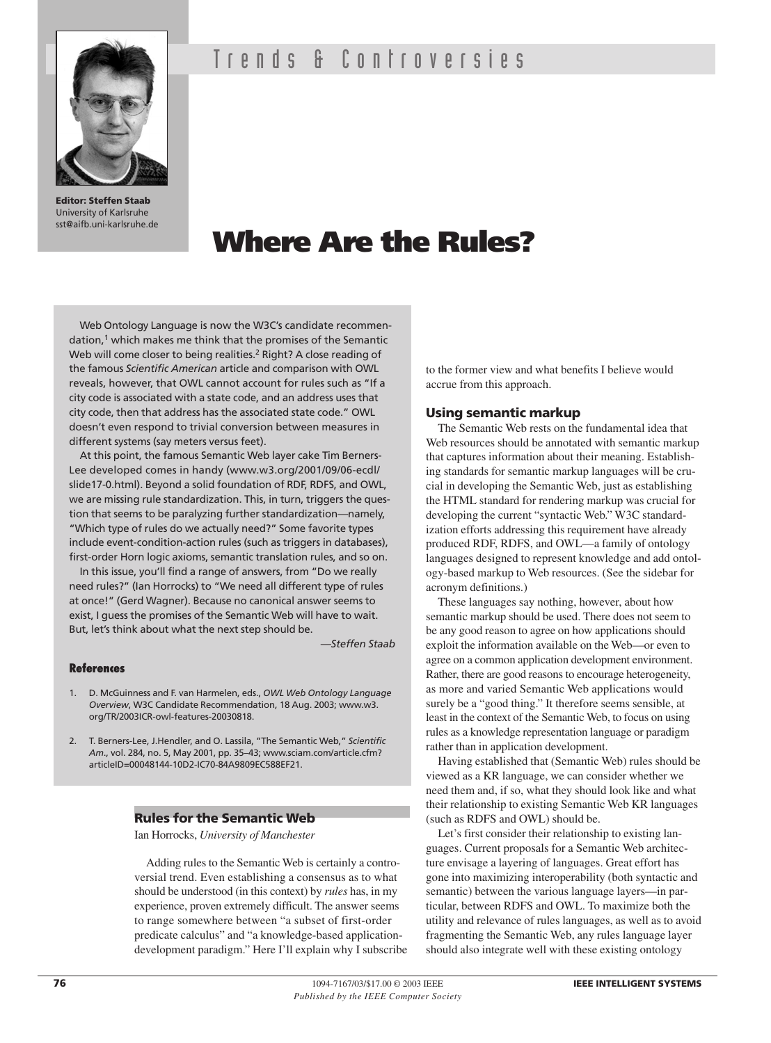

**Editor: Steffen Staab** University of Karlsruhe sst@aifb.uni-karlsruhe.de

## Trends & Controversies

# **Where Are the Rules?**

Web Ontology Language is now the W3C's candidate recommendation,<sup>1</sup> which makes me think that the promises of the Semantic Web will come closer to being realities.<sup>2</sup> Right? A close reading of the famous *Scientific American* article and comparison with OWL reveals, however, that OWL cannot account for rules such as "If a city code is associated with a state code, and an address uses that city code, then that address has the associated state code." OWL doesn't even respond to trivial conversion between measures in different systems (say meters versus feet).

At this point, the famous Semantic Web layer cake Tim Berners-Lee developed comes in handy (www.w3.org/2001/09/06-ecdl/ slide17-0.html). Beyond a solid foundation of RDF, RDFS, and OWL, we are missing rule standardization. This, in turn, triggers the question that seems to be paralyzing further standardization—namely, "Which type of rules do we actually need?" Some favorite types include event-condition-action rules (such as triggers in databases), first-order Horn logic axioms, semantic translation rules, and so on.

In this issue, you'll find a range of answers, from "Do we really need rules?" (Ian Horrocks) to "We need all different type of rules at once!" (Gerd Wagner). Because no canonical answer seems to exist, I guess the promises of the Semantic Web will have to wait. But, let's think about what the next step should be.

—*Steffen Staab*

#### **References**

- 1. D. McGuinness and F. van Harmelen, eds., *OWL Web Ontology Language Overview*, W3C Candidate Recommendation, 18 Aug. 2003; www.w3. org/TR/2003ICR-owl-features-20030818.
- 2. T. Berners-Lee, J.Hendler, and O. Lassila, "The Semantic Web," *Scientific Am*., vol. 284, no. 5, May 2001, pp. 35–43; www.sciam.com/article.cfm? articleID=00048144-10D2-IC70-84A9809EC588EF21.

#### **Rules for the Semantic Web**

Ian Horrocks, *University of Manchester*

Adding rules to the Semantic Web is certainly a controversial trend. Even establishing a consensus as to what should be understood (in this context) by *rules* has, in my experience, proven extremely difficult. The answer seems to range somewhere between "a subset of first-order predicate calculus" and "a knowledge-based applicationdevelopment paradigm." Here I'll explain why I subscribe to the former view and what benefits I believe would accrue from this approach.

#### **Using semantic markup**

The Semantic Web rests on the fundamental idea that Web resources should be annotated with semantic markup that captures information about their meaning. Establishing standards for semantic markup languages will be crucial in developing the Semantic Web, just as establishing the HTML standard for rendering markup was crucial for developing the current "syntactic Web." W3C standardization efforts addressing this requirement have already produced RDF, RDFS, and OWL—a family of ontology languages designed to represent knowledge and add ontology-based markup to Web resources. (See the sidebar for acronym definitions.)

These languages say nothing, however, about how semantic markup should be used. There does not seem to be any good reason to agree on how applications should exploit the information available on the Web—or even to agree on a common application development environment. Rather, there are good reasons to encourage heterogeneity, as more and varied Semantic Web applications would surely be a "good thing." It therefore seems sensible, at least in the context of the Semantic Web, to focus on using rules as a knowledge representation language or paradigm rather than in application development.

Having established that (Semantic Web) rules should be viewed as a KR language, we can consider whether we need them and, if so, what they should look like and what their relationship to existing Semantic Web KR languages (such as RDFS and OWL) should be.

Let's first consider their relationship to existing languages. Current proposals for a Semantic Web architecture envisage a layering of languages. Great effort has gone into maximizing interoperability (both syntactic and semantic) between the various language layers—in particular, between RDFS and OWL. To maximize both the utility and relevance of rules languages, as well as to avoid fragmenting the Semantic Web, any rules language layer should also integrate well with these existing ontology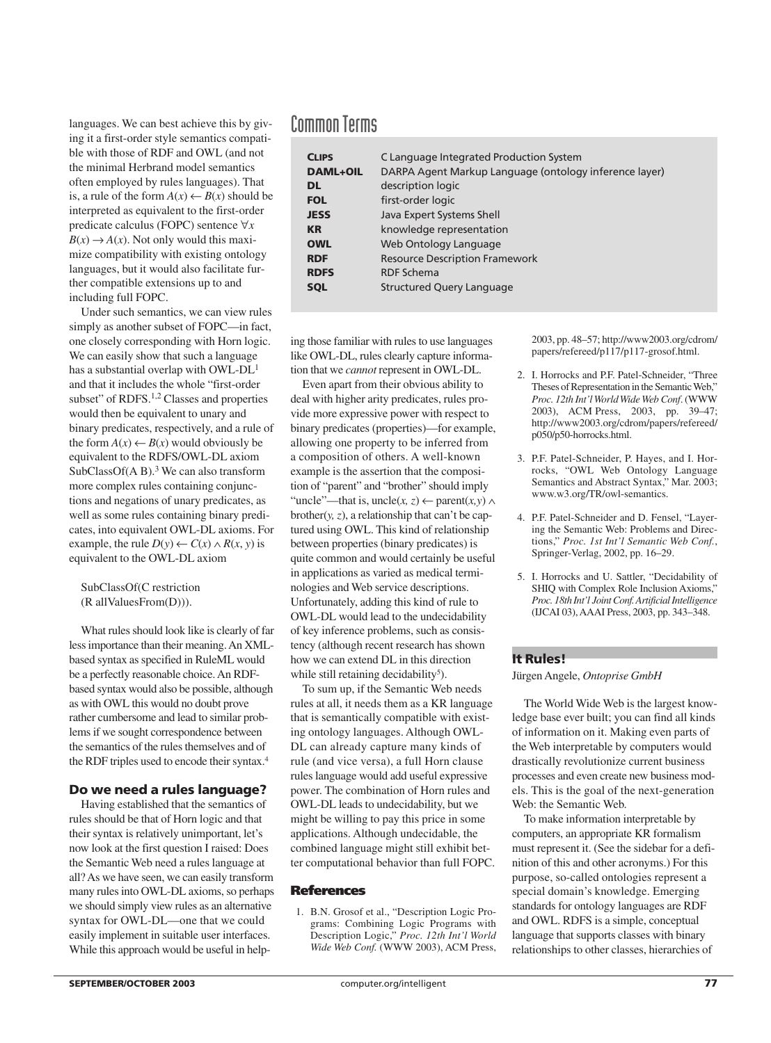languages. We can best achieve this by giving it a first-order style semantics compatible with those of RDF and OWL (and not the minimal Herbrand model semantics often employed by rules languages). That is, a rule of the form  $A(x) \leftarrow B(x)$  should be interpreted as equivalent to the first-order predicate calculus (FOPC) sentence ∀*x*  $B(x) \rightarrow A(x)$ . Not only would this maximize compatibility with existing ontology languages, but it would also facilitate further compatible extensions up to and including full FOPC.

Under such semantics, we can view rules simply as another subset of FOPC—in fact, one closely corresponding with Horn logic. We can easily show that such a language has a substantial overlap with OWL-DL<sup>1</sup> and that it includes the whole "first-order subset" of RDFS.<sup>1,2</sup> Classes and properties would then be equivalent to unary and binary predicates, respectively, and a rule of the form  $A(x) \leftarrow B(x)$  would obviously be equivalent to the RDFS/OWL-DL axiom SubClassOf $(A B)$ .<sup>3</sup> We can also transform more complex rules containing conjunctions and negations of unary predicates, as well as some rules containing binary predicates, into equivalent OWL-DL axioms. For example, the rule *D*(*y*) ← *C*(*x*) ∧ *R*(*x*, *y*) is equivalent to the OWL-DL axiom

#### SubClassOf(C restriction (R allValuesFrom(D))).

What rules should look like is clearly of far less importance than their meaning. An XMLbased syntax as specified in RuleML would be a perfectly reasonable choice. An RDFbased syntax would also be possible, although as with OWL this would no doubt prove rather cumbersome and lead to similar problems if we sought correspondence between the semantics of the rules themselves and of the RDF triples used to encode their syntax.4

#### **Do we need a rules language?**

Having established that the semantics of rules should be that of Horn logic and that their syntax is relatively unimportant, let's now look at the first question I raised: Does the Semantic Web need a rules language at all? As we have seen, we can easily transform many rules into OWL-DL axioms, so perhaps we should simply view rules as an alternative syntax for OWL-DL—one that we could easily implement in suitable user interfaces. While this approach would be useful in help-

## Common Terms

| <b>CLIPS</b>    | C Language Integrated Production System                |
|-----------------|--------------------------------------------------------|
| <b>DAML+OIL</b> | DARPA Agent Markup Language (ontology inference layer) |
| DL              | description logic                                      |
| <b>FOL</b>      | first-order logic                                      |
| <b>JESS</b>     | Java Expert Systems Shell                              |
| <b>KR</b>       | knowledge representation                               |
| <b>OWL</b>      | Web Ontology Language                                  |
| <b>RDF</b>      | <b>Resource Description Framework</b>                  |
| <b>RDFS</b>     | <b>RDF Schema</b>                                      |
| <b>SQL</b>      | Structured Query Language                              |
|                 |                                                        |

ing those familiar with rules to use languages like OWL-DL, rules clearly capture information that we *cannot* represent in OWL-DL.

Even apart from their obvious ability to deal with higher arity predicates, rules provide more expressive power with respect to binary predicates (properties)—for example, allowing one property to be inferred from a composition of others. A well-known example is the assertion that the composition of "parent" and "brother" should imply "uncle"—that is, uncle(*x*, *z*)  $\leftarrow$  parent(*x*, *y*)  $\land$ brother(*y, z*), a relationship that can't be captured using OWL. This kind of relationship between properties (binary predicates) is quite common and would certainly be useful in applications as varied as medical terminologies and Web service descriptions. Unfortunately, adding this kind of rule to OWL-DL would lead to the undecidability of key inference problems, such as consistency (although recent research has shown how we can extend DL in this direction while still retaining decidability<sup>5</sup>).

To sum up, if the Semantic Web needs rules at all, it needs them as a KR language that is semantically compatible with existing ontology languages. Although OWL-DL can already capture many kinds of rule (and vice versa), a full Horn clause rules language would add useful expressive power. The combination of Horn rules and OWL-DL leads to undecidability, but we might be willing to pay this price in some applications. Although undecidable, the combined language might still exhibit better computational behavior than full FOPC.

#### **References**

1. B.N. Grosof et al., "Description Logic Programs: Combining Logic Programs with Description Logic," *Proc. 12th Int'l World Wide Web Conf.* (WWW 2003), ACM Press,

2003, pp. 48–57; http://www2003.org/cdrom/ papers/refereed/p117/p117-grosof.html.

- 2. I. Horrocks and P.F. Patel-Schneider, "Three Theses of Representation in the Semantic Web," *Proc. 12th Int'l World Wide Web Conf*. (WWW 2003), ACM Press, 2003, pp. 39–47; http://www2003.org/cdrom/papers/refereed/ p050/p50-horrocks.html.
- 3. P.F. Patel-Schneider, P. Hayes, and I. Horrocks, "OWL Web Ontology Language Semantics and Abstract Syntax," Mar. 2003; www.w3.org/TR/owl-semantics.
- 4. P.F. Patel-Schneider and D. Fensel, "Layering the Semantic Web: Problems and Directions," *Proc. 1st Int'l Semantic Web Conf.*, Springer-Verlag, 2002, pp. 16–29.
- 5. I. Horrocks and U. Sattler, "Decidability of SHIQ with Complex Role Inclusion Axioms," *Proc. 18th Int'l Joint Conf. Artificial Intelligence* (IJCAI 03), AAAI Press, 2003, pp. 343–348.

#### **It Rules!**

Jürgen Angele, *Ontoprise GmbH*

The World Wide Web is the largest knowledge base ever built; you can find all kinds of information on it. Making even parts of the Web interpretable by computers would drastically revolutionize current business processes and even create new business models. This is the goal of the next-generation Web: the Semantic Web.

To make information interpretable by computers, an appropriate KR formalism must represent it. (See the sidebar for a definition of this and other acronyms.) For this purpose, so-called ontologies represent a special domain's knowledge. Emerging standards for ontology languages are RDF and OWL. RDFS is a simple, conceptual language that supports classes with binary relationships to other classes, hierarchies of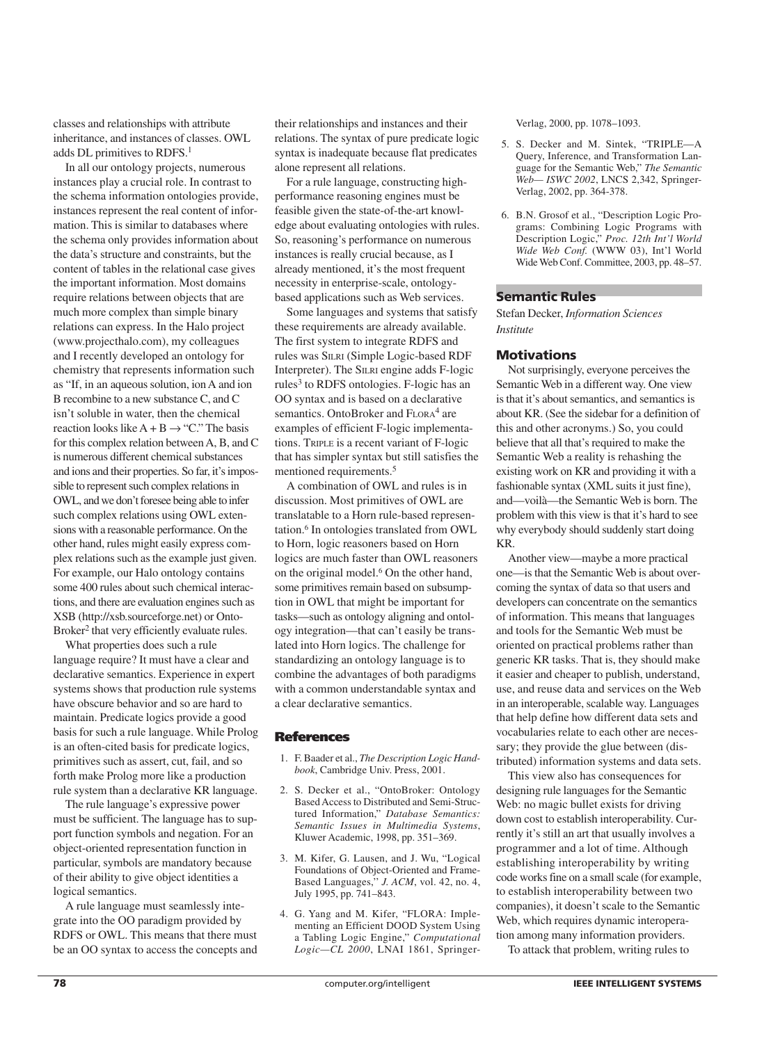classes and relationships with attribute inheritance, and instances of classes. OWL adds DL primitives to RDFS.1

In all our ontology projects, numerous instances play a crucial role. In contrast to the schema information ontologies provide, instances represent the real content of information. This is similar to databases where the schema only provides information about the data's structure and constraints, but the content of tables in the relational case gives the important information. Most domains require relations between objects that are much more complex than simple binary relations can express. In the Halo project (www.projecthalo.com), my colleagues and I recently developed an ontology for chemistry that represents information such as "If, in an aqueous solution, ion A and ion B recombine to a new substance C, and C isn't soluble in water, then the chemical reaction looks like  $A + B \rightarrow "C."$  The basis for this complex relation between A, B, and C is numerous different chemical substances and ions and their properties. So far, it's impossible to represent such complex relations in OWL, and we don't foresee being able to infer such complex relations using OWL extensions with a reasonable performance. On the other hand, rules might easily express complex relations such as the example just given. For example, our Halo ontology contains some 400 rules about such chemical interactions, and there are evaluation engines such as XSB (http://xsb.sourceforge.net) or Onto-Broker<sup>2</sup> that very efficiently evaluate rules.

What properties does such a rule language require? It must have a clear and declarative semantics. Experience in expert systems shows that production rule systems have obscure behavior and so are hard to maintain. Predicate logics provide a good basis for such a rule language. While Prolog is an often-cited basis for predicate logics, primitives such as assert, cut, fail, and so forth make Prolog more like a production rule system than a declarative KR language.

The rule language's expressive power must be sufficient. The language has to support function symbols and negation. For an object-oriented representation function in particular, symbols are mandatory because of their ability to give object identities a logical semantics.

A rule language must seamlessly integrate into the OO paradigm provided by RDFS or OWL. This means that there must be an OO syntax to access the concepts and

their relationships and instances and their relations. The syntax of pure predicate logic syntax is inadequate because flat predicates alone represent all relations.

For a rule language, constructing highperformance reasoning engines must be feasible given the state-of-the-art knowledge about evaluating ontologies with rules. So, reasoning's performance on numerous instances is really crucial because, as I already mentioned, it's the most frequent necessity in enterprise-scale, ontologybased applications such as Web services.

Some languages and systems that satisfy these requirements are already available. The first system to integrate RDFS and rules was SILRI (Simple Logic-based RDF Interpreter). The SILRI engine adds F-logic rules<sup>3</sup> to RDFS ontologies. F-logic has an OO syntax and is based on a declarative semantics. OntoBroker and FLORA<sup>4</sup> are examples of efficient F-logic implementations. TRIPLE is a recent variant of F-logic that has simpler syntax but still satisfies the mentioned requirements.5

A combination of OWL and rules is in discussion. Most primitives of OWL are translatable to a Horn rule-based representation.6 In ontologies translated from OWL to Horn, logic reasoners based on Horn logics are much faster than OWL reasoners on the original model.<sup>6</sup> On the other hand, some primitives remain based on subsumption in OWL that might be important for tasks—such as ontology aligning and ontology integration—that can't easily be translated into Horn logics. The challenge for standardizing an ontology language is to combine the advantages of both paradigms with a common understandable syntax and a clear declarative semantics.

#### **References**

- 1. F. Baader et al., *The Description Logic Handbook*, Cambridge Univ. Press, 2001.
- 2. S. Decker et al., "OntoBroker: Ontology Based Access to Distributed and Semi-Structured Information," *Database Semantics: Semantic Issues in Multimedia Systems*, Kluwer Academic, 1998, pp. 351–369.
- 3. M. Kifer, G. Lausen, and J. Wu, "Logical Foundations of Object-Oriented and Frame-Based Languages,'' *J. ACM*, vol. 42, no. 4, July 1995, pp. 741–843.
- 4. G. Yang and M. Kifer, "FLORA: Implementing an Efficient DOOD System Using a Tabling Logic Engine," *Computational Logic—CL 2000*, LNAI 1861, Springer-

Verlag, 2000, pp. 1078–1093.

- 5. S. Decker and M. Sintek, "TRIPLE—A Query, Inference, and Transformation Language for the Semantic Web," *The Semantic Web— ISWC 2002*, LNCS 2,342, Springer-Verlag, 2002, pp. 364-378.
- 6. B.N. Grosof et al., "Description Logic Programs: Combining Logic Programs with Description Logic," *Proc. 12th Int'l World Wide Web Conf.* (WWW 03), Int'l World Wide Web Conf. Committee, 2003, pp. 48–57.

#### **Semantic Rules**

Stefan Decker, *Information Sciences Institute*

#### **Motivations**

Not surprisingly, everyone perceives the Semantic Web in a different way. One view is that it's about semantics, and semantics is about KR. (See the sidebar for a definition of this and other acronyms.) So, you could believe that all that's required to make the Semantic Web a reality is rehashing the existing work on KR and providing it with a fashionable syntax (XML suits it just fine), and—voilà—the Semantic Web is born. The problem with this view is that it's hard to see why everybody should suddenly start doing KR.

Another view—maybe a more practical one—is that the Semantic Web is about overcoming the syntax of data so that users and developers can concentrate on the semantics of information. This means that languages and tools for the Semantic Web must be oriented on practical problems rather than generic KR tasks. That is, they should make it easier and cheaper to publish, understand, use, and reuse data and services on the Web in an interoperable, scalable way. Languages that help define how different data sets and vocabularies relate to each other are necessary; they provide the glue between (distributed) information systems and data sets.

This view also has consequences for designing rule languages for the Semantic Web: no magic bullet exists for driving down cost to establish interoperability. Currently it's still an art that usually involves a programmer and a lot of time. Although establishing interoperability by writing code works fine on a small scale (for example, to establish interoperability between two companies), it doesn't scale to the Semantic Web, which requires dynamic interoperation among many information providers.

To attack that problem, writing rules to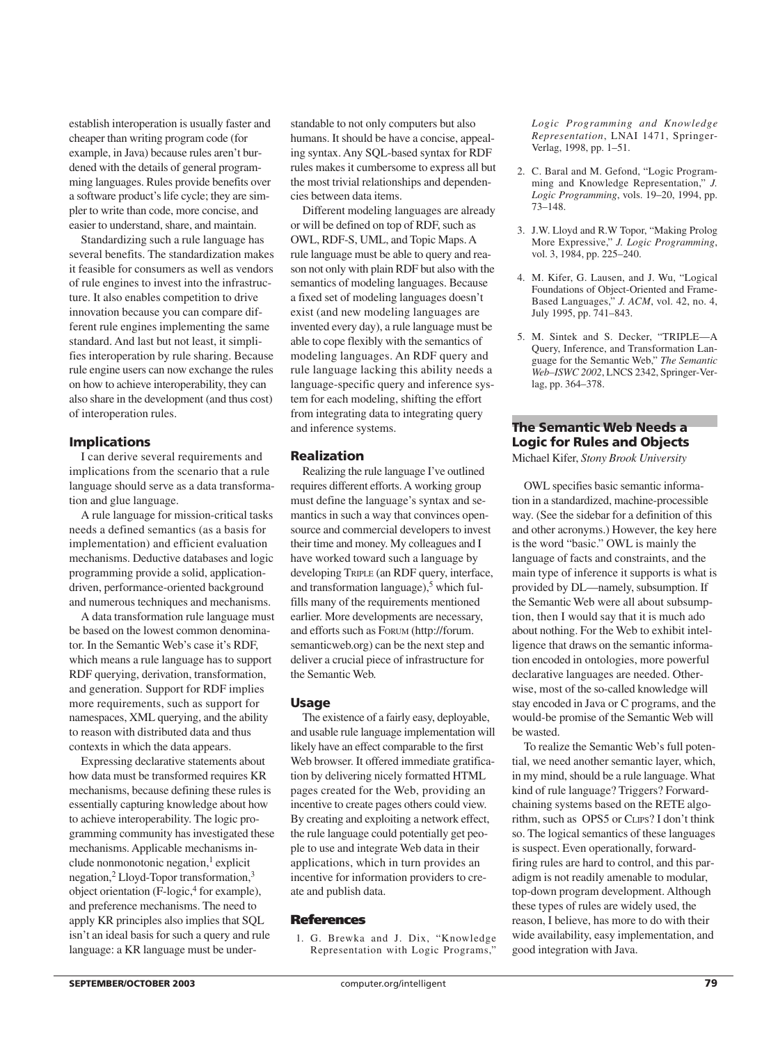establish interoperation is usually faster and cheaper than writing program code (for example, in Java) because rules aren't burdened with the details of general programming languages. Rules provide benefits over a software product's life cycle; they are simpler to write than code, more concise, and easier to understand, share, and maintain.

Standardizing such a rule language has several benefits. The standardization makes it feasible for consumers as well as vendors of rule engines to invest into the infrastructure. It also enables competition to drive innovation because you can compare different rule engines implementing the same standard. And last but not least, it simplifies interoperation by rule sharing. Because rule engine users can now exchange the rules on how to achieve interoperability, they can also share in the development (and thus cost) of interoperation rules.

#### **Implications**

I can derive several requirements and implications from the scenario that a rule language should serve as a data transformation and glue language.

A rule language for mission-critical tasks needs a defined semantics (as a basis for implementation) and efficient evaluation mechanisms. Deductive databases and logic programming provide a solid, applicationdriven, performance-oriented background and numerous techniques and mechanisms.

A data transformation rule language must be based on the lowest common denominator. In the Semantic Web's case it's RDF, which means a rule language has to support RDF querying, derivation, transformation, and generation. Support for RDF implies more requirements, such as support for namespaces, XML querying, and the ability to reason with distributed data and thus contexts in which the data appears.

Expressing declarative statements about how data must be transformed requires KR mechanisms, because defining these rules is essentially capturing knowledge about how to achieve interoperability. The logic programming community has investigated these mechanisms. Applicable mechanisms include nonmonotonic negation, $\frac{1}{1}$  explicit negation,<sup>2</sup> Lloyd-Topor transformation,<sup>3</sup> object orientation (F-logic,<sup>4</sup> for example), and preference mechanisms. The need to apply KR principles also implies that SQL isn't an ideal basis for such a query and rule language: a KR language must be understandable to not only computers but also humans. It should be have a concise, appealing syntax. Any SQL-based syntax for RDF rules makes it cumbersome to express all but the most trivial relationships and dependencies between data items.

Different modeling languages are already or will be defined on top of RDF, such as OWL, RDF-S, UML, and Topic Maps. A rule language must be able to query and reason not only with plain RDF but also with the semantics of modeling languages. Because a fixed set of modeling languages doesn't exist (and new modeling languages are invented every day), a rule language must be able to cope flexibly with the semantics of modeling languages. An RDF query and rule language lacking this ability needs a language-specific query and inference system for each modeling, shifting the effort from integrating data to integrating query and inference systems.

#### **Realization**

Realizing the rule language I've outlined requires different efforts. A working group must define the language's syntax and semantics in such a way that convinces opensource and commercial developers to invest their time and money. My colleagues and I have worked toward such a language by developing TRIPLE (an RDF query, interface, and transformation language), $5$  which fulfills many of the requirements mentioned earlier. More developments are necessary, and efforts such as FORUM (http://forum. semanticweb.org) can be the next step and deliver a crucial piece of infrastructure for the Semantic Web.

#### **Usage**

The existence of a fairly easy, deployable, and usable rule language implementation will likely have an effect comparable to the first Web browser. It offered immediate gratification by delivering nicely formatted HTML pages created for the Web, providing an incentive to create pages others could view. By creating and exploiting a network effect, the rule language could potentially get people to use and integrate Web data in their applications, which in turn provides an incentive for information providers to create and publish data.

#### **References**

1. G. Brewka and J. Dix, "Knowledge Representation with Logic Programs,"

*Logic Programming and Knowledge Representation*, LNAI 1471, Springer-Verlag, 1998, pp. 1–51.

- 2. C. Baral and M. Gefond, "Logic Programming and Knowledge Representation," *J. Logic Programming*, vols. 19–20, 1994, pp. 73–148.
- 3. J.W. Lloyd and R.W Topor, "Making Prolog More Expressive," *J. Logic Programming*, vol. 3, 1984, pp. 225–240.
- 4. M. Kifer, G. Lausen, and J. Wu, "Logical Foundations of Object-Oriented and Frame-Based Languages," *J. ACM*, vol. 42, no. 4, July 1995, pp. 741–843.
- 5. M. Sintek and S. Decker, "TRIPLE—A Query, Inference, and Transformation Language for the Semantic Web," *The Semantic Web–ISWC 2002*, LNCS 2342, Springer-Verlag, pp. 364–378.

### **The Semantic Web Needs a Logic for Rules and Objects**

Michael Kifer, *Stony Brook University*

OWL specifies basic semantic information in a standardized, machine-processible way. (See the sidebar for a definition of this and other acronyms.) However, the key here is the word "basic." OWL is mainly the language of facts and constraints, and the main type of inference it supports is what is provided by DL—namely, subsumption. If the Semantic Web were all about subsumption, then I would say that it is much ado about nothing. For the Web to exhibit intelligence that draws on the semantic information encoded in ontologies, more powerful declarative languages are needed. Otherwise, most of the so-called knowledge will stay encoded in Java or C programs, and the would-be promise of the Semantic Web will be wasted.

To realize the Semantic Web's full potential, we need another semantic layer, which, in my mind, should be a rule language. What kind of rule language? Triggers? Forwardchaining systems based on the RETE algorithm, such as OPS5 or CLIPS? I don't think so. The logical semantics of these languages is suspect. Even operationally, forwardfiring rules are hard to control, and this paradigm is not readily amenable to modular, top-down program development. Although these types of rules are widely used, the reason, I believe, has more to do with their wide availability, easy implementation, and good integration with Java.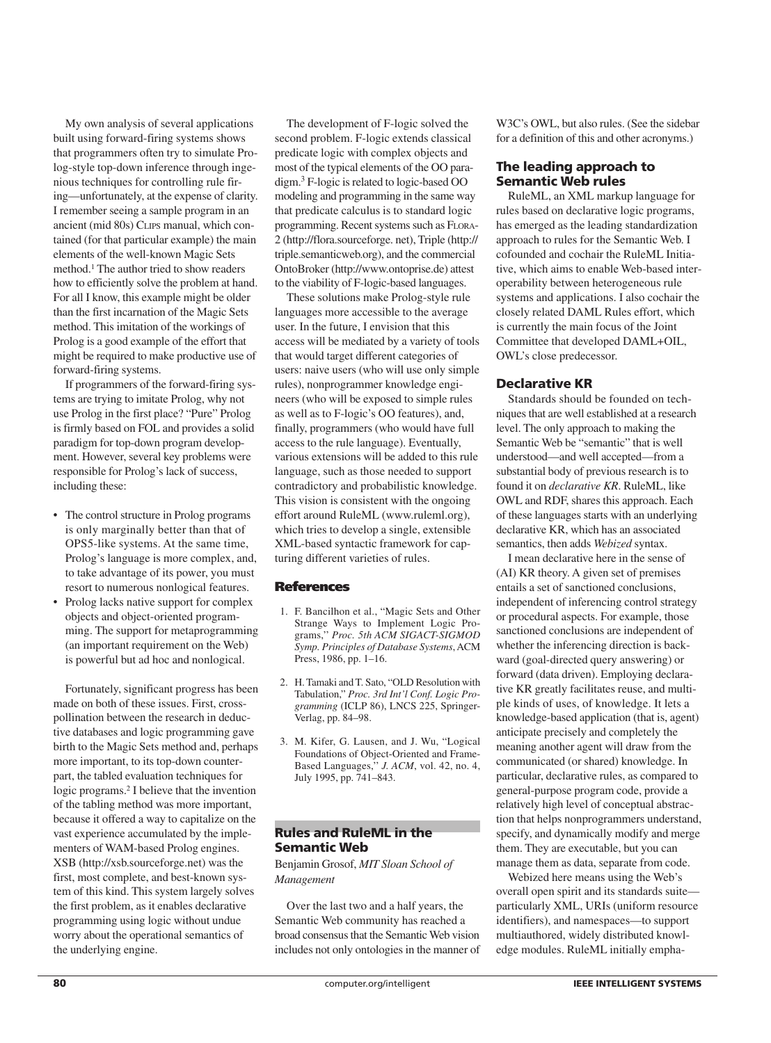My own analysis of several applications built using forward-firing systems shows that programmers often try to simulate Prolog-style top-down inference through ingenious techniques for controlling rule firing—unfortunately, at the expense of clarity. I remember seeing a sample program in an ancient (mid 80s) CLIPS manual, which contained (for that particular example) the main elements of the well-known Magic Sets method.1 The author tried to show readers how to efficiently solve the problem at hand. For all I know, this example might be older than the first incarnation of the Magic Sets method. This imitation of the workings of Prolog is a good example of the effort that might be required to make productive use of forward-firing systems.

If programmers of the forward-firing systems are trying to imitate Prolog, why not use Prolog in the first place? "Pure" Prolog is firmly based on FOL and provides a solid paradigm for top-down program development. However, several key problems were responsible for Prolog's lack of success, including these:

- The control structure in Prolog programs is only marginally better than that of OPS5-like systems. At the same time, Prolog's language is more complex, and, to take advantage of its power, you must resort to numerous nonlogical features.
- Prolog lacks native support for complex objects and object-oriented programming. The support for metaprogramming (an important requirement on the Web) is powerful but ad hoc and nonlogical.

Fortunately, significant progress has been made on both of these issues. First, crosspollination between the research in deductive databases and logic programming gave birth to the Magic Sets method and, perhaps more important, to its top-down counterpart, the tabled evaluation techniques for logic programs.2 I believe that the invention of the tabling method was more important, because it offered a way to capitalize on the vast experience accumulated by the implementers of WAM-based Prolog engines. XSB (http://xsb.sourceforge.net) was the first, most complete, and best-known system of this kind. This system largely solves the first problem, as it enables declarative programming using logic without undue worry about the operational semantics of the underlying engine.

The development of F-logic solved the second problem. F-logic extends classical predicate logic with complex objects and most of the typical elements of the OO paradigm.3 F-logic is related to logic-based OO modeling and programming in the same way that predicate calculus is to standard logic programming. Recent systems such as FLORA-2 (http://flora.sourceforge. net), Triple (http:// triple.semanticweb.org), and the commercial OntoBroker (http://www.ontoprise.de) attest to the viability of F-logic-based languages.

These solutions make Prolog-style rule languages more accessible to the average user. In the future, I envision that this access will be mediated by a variety of tools that would target different categories of users: naive users (who will use only simple rules), nonprogrammer knowledge engineers (who will be exposed to simple rules as well as to F-logic's OO features), and, finally, programmers (who would have full access to the rule language). Eventually, various extensions will be added to this rule language, such as those needed to support contradictory and probabilistic knowledge. This vision is consistent with the ongoing effort around RuleML (www.ruleml.org), which tries to develop a single, extensible XML-based syntactic framework for capturing different varieties of rules.

#### **References**

- 1. F. Bancilhon et al., "Magic Sets and Other Strange Ways to Implement Logic Programs,'' *Proc. 5th ACM SIGACT-SIGMOD Symp. Principles of Database Systems*, ACM Press, 1986, pp. 1–16.
- 2. H. Tamaki and T. Sato, "OLD Resolution with Tabulation," *Proc. 3rd Int'l Conf. Logic Programming* (ICLP 86), LNCS 225, Springer-Verlag, pp. 84–98.
- 3. M. Kifer, G. Lausen, and J. Wu, "Logical Foundations of Object-Oriented and Frame-Based Languages,'' *J. ACM*, vol. 42, no. 4, July 1995, pp. 741–843.

#### **Rules and RuleML in the Semantic Web**

Benjamin Grosof, *MIT Sloan School of Management*

Over the last two and a half years, the Semantic Web community has reached a broad consensus that the Semantic Web vision includes not only ontologies in the manner of W3C's OWL, but also rules. (See the sidebar for a definition of this and other acronyms.)

#### **The leading approach to Semantic Web rules**

RuleML, an XML markup language for rules based on declarative logic programs, has emerged as the leading standardization approach to rules for the Semantic Web. I cofounded and cochair the RuleML Initiative, which aims to enable Web-based interoperability between heterogeneous rule systems and applications. I also cochair the closely related DAML Rules effort, which is currently the main focus of the Joint Committee that developed DAML+OIL, OWL's close predecessor.

#### **Declarative KR**

Standards should be founded on techniques that are well established at a research level. The only approach to making the Semantic Web be "semantic" that is well understood—and well accepted—from a substantial body of previous research is to found it on *declarative KR*. RuleML, like OWL and RDF, shares this approach. Each of these languages starts with an underlying declarative KR, which has an associated semantics, then adds *Webized* syntax.

I mean declarative here in the sense of (AI) KR theory. A given set of premises entails a set of sanctioned conclusions, independent of inferencing control strategy or procedural aspects. For example, those sanctioned conclusions are independent of whether the inferencing direction is backward (goal-directed query answering) or forward (data driven). Employing declarative KR greatly facilitates reuse, and multiple kinds of uses, of knowledge. It lets a knowledge-based application (that is, agent) anticipate precisely and completely the meaning another agent will draw from the communicated (or shared) knowledge. In particular, declarative rules, as compared to general-purpose program code, provide a relatively high level of conceptual abstraction that helps nonprogrammers understand, specify, and dynamically modify and merge them. They are executable, but you can manage them as data, separate from code.

Webized here means using the Web's overall open spirit and its standards suite particularly XML, URIs (uniform resource identifiers), and namespaces—to support multiauthored, widely distributed knowledge modules. RuleML initially empha-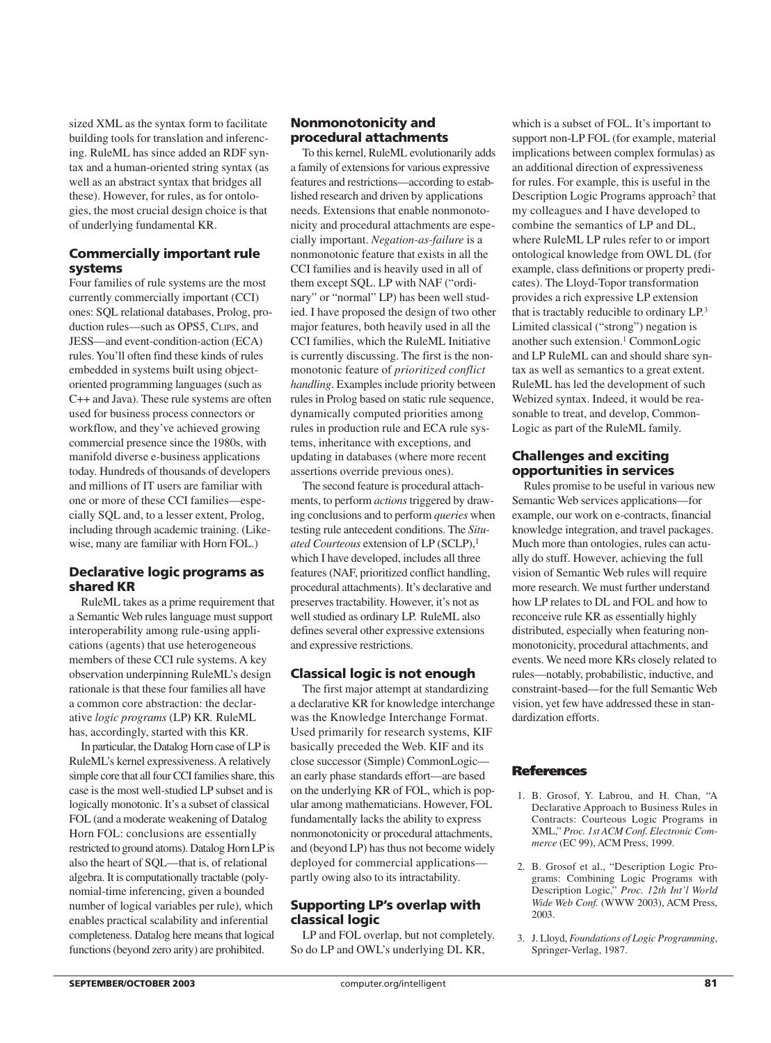sized XML as the syntax form to facilitate building tools for translation and inferencing. RuleML has since added an RDF syntax and a human-oriented string syntax (as well as an abstract syntax that bridges all these). However, for rules, as for ontologies, the most crucial design choice is that of underlying fundamental KR.

#### **Commercially important rule systems**

Four families of rule systems are the most currently commercially important (CCI) ones: SQL relational databases, Prolog, production rules—such as OPS5, CLIPS, and JESS—and event-condition-action (ECA) rules. You'll often find these kinds of rules embedded in systems built using objectoriented programming languages (such as C++ and Java). These rule systems are often used for business process connectors or workflow, and they've achieved growing commercial presence since the 1980s, with manifold diverse e-business applications today. Hundreds of thousands of developers and millions of IT users are familiar with one or more of these CCI families—especially SQL and, to a lesser extent, Prolog, including through academic training. (Likewise, many are familiar with Horn FOL.)

#### **Declarative logic programs as shared KR**

RuleML takes as a prime requirement that a Semantic Web rules language must support interoperability among rule-using applications (agents) that use heterogeneous members of these CCI rule systems. A key observation underpinning RuleML's design rationale is that these four families all have a common core abstraction: the declarative *logic programs* (LP**)** KR*.* RuleML has, accordingly, started with this KR.

In particular, the Datalog Horn case of LP is RuleML's kernel expressiveness. A relatively simple core that all four CCI families share, this case is the most well-studied LP subset and is logically monotonic. It's a subset of classical FOL (and a moderate weakening of Datalog Horn FOL: conclusions are essentially restricted to ground atoms). Datalog Horn LP is also the heart of SQL—that is, of relational algebra. It is computationally tractable (polynomial-time inferencing, given a bounded number of logical variables per rule), which enables practical scalability and inferential completeness. Datalog here means that logical functions (beyond zero arity) are prohibited.

#### **Nonmonotonicity and procedural attachments**

To this kernel, RuleML evolutionarily adds a family of extensions for various expressive features and restrictions—according to established research and driven by applications needs. Extensions that enable nonmonotonicity and procedural attachments are especially important. *Negation-as-failure* is a nonmonotonic feature that exists in all the CCI families and is heavily used in all of them except SQL. LP with NAF ("ordinary" or "normal" LP) has been well studied. I have proposed the design of two other major features, both heavily used in all the CCI families, which the RuleML Initiative is currently discussing. The first is the nonmonotonic feature of *prioritized conflict handling*. Examples include priority between rules in Prolog based on static rule sequence, dynamically computed priorities among rules in production rule and ECA rule systems, inheritance with exceptions, and updating in databases (where more recent assertions override previous ones).

The second feature is procedural attachments, to perform *actions* triggered by drawing conclusions and to perform *queries* when testing rule antecedent conditions. The *Situated Courteous* extension of LP (SCLP),<sup>1</sup> which I have developed, includes all three features (NAF, prioritized conflict handling, procedural attachments). It's declarative and preserves tractability. However, it's not as well studied as ordinary LP. RuleML also defines several other expressive extensions and expressive restrictions.

#### **Classical logic is not enough**

The first major attempt at standardizing a declarative KR for knowledge interchange was the Knowledge Interchange Format. Used primarily for research systems, KIF basically preceded the Web. KIF and its close successor (Simple) CommonLogic an early phase standards effort—are based on the underlying KR of FOL, which is popular among mathematicians. However, FOL fundamentally lacks the ability to express nonmonotonicity or procedural attachments, and (beyond LP) has thus not become widely deployed for commercial applications partly owing also to its intractability.

#### **Supporting LP's overlap with classical logic**

LP and FOL overlap, but not completely. So do LP and OWL's underlying DL KR,

which is a subset of FOL. It's important to support non-LP FOL (for example, material implications between complex formulas) as an additional direction of expressiveness for rules. For example, this is useful in the Description Logic Programs approach<sup>2</sup> that my colleagues and I have developed to combine the semantics of LP and DL, where RuleML LP rules refer to or import ontological knowledge from OWL DL (for example, class definitions or property predicates). The Lloyd-Topor transformation provides a rich expressive LP extension that is tractably reducible to ordinary LP.3 Limited classical ("strong") negation is another such extension.1 CommonLogic and LP RuleML can and should share syntax as well as semantics to a great extent. RuleML has led the development of such Webized syntax. Indeed, it would be reasonable to treat, and develop, Common-Logic as part of the RuleML family.

#### **Challenges and exciting opportunities in services**

Rules promise to be useful in various new Semantic Web services applications—for example, our work on e-contracts, financial knowledge integration, and travel packages. Much more than ontologies, rules can actually do stuff. However, achieving the full vision of Semantic Web rules will require more research. We must further understand how LP relates to DL and FOL and how to reconceive rule KR as essentially highly distributed, especially when featuring nonmonotonicity, procedural attachments, and events. We need more KRs closely related to rules—notably, probabilistic, inductive, and constraint-based—for the full Semantic Web vision, yet few have addressed these in standardization efforts.

#### **References**

- 1. B. Grosof, Y. Labrou, and H. Chan, "A Declarative Approach to Business Rules in Contracts: Courteous Logic Programs in XML," *Proc. 1st ACM Conf. Electronic Commerce* (EC 99), ACM Press, 1999.
- 2. B. Grosof et al., "Description Logic Programs: Combining Logic Programs with Description Logic," *Proc. 12th Int'l World Wide Web Conf.* (WWW 2003), ACM Press, 2003.
- 3. J. Lloyd, *Foundations of Logic Programming*, Springer-Verlag, 1987.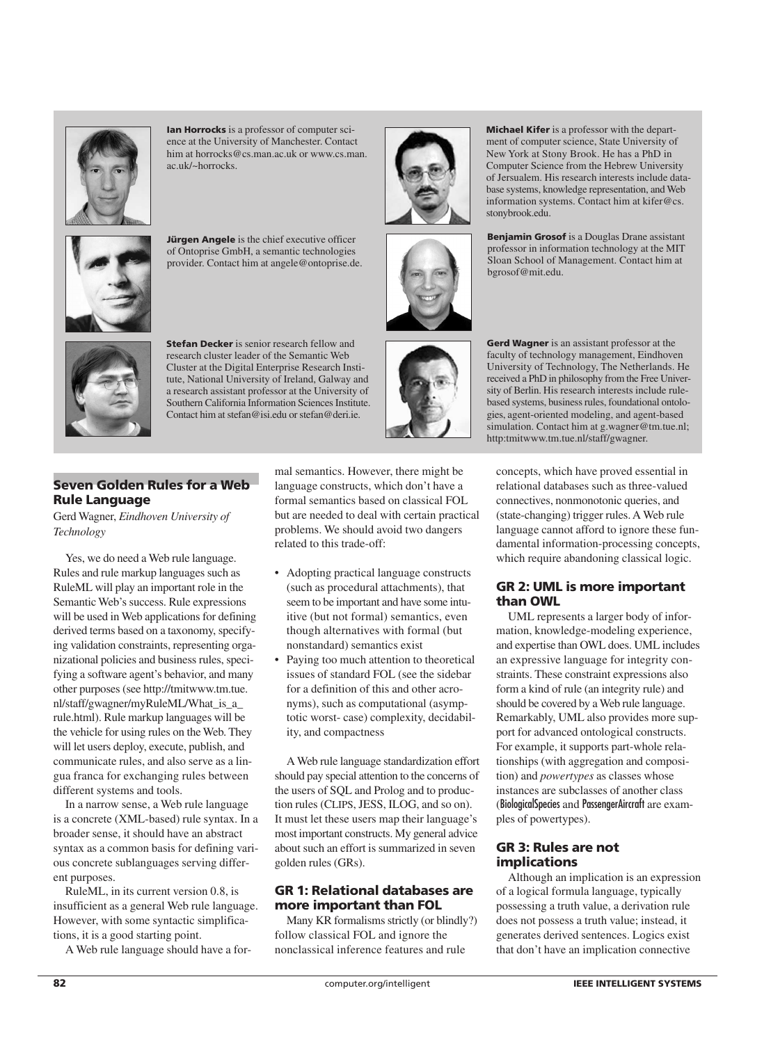

**Ian Horrocks** is a professor of computer science at the University of Manchester. Contact him at horrocks@cs.man.ac.uk or www.cs.man. ac.uk/~horrocks.



**Jürgen Angele** is the chief executive officer of Ontoprise GmbH, a semantic technologies provider. Contact him at angele@ontoprise.de.



**Stefan Decker** is senior research fellow and research cluster leader of the Semantic Web Cluster at the Digital Enterprise Research Institute, National University of Ireland, Galway and a research assistant professor at the University of Southern California Information Sciences Institute. Contact him at stefan@isi.edu or stefan@deri.ie.

#### **Seven Golden Rules for a Web Rule Language**

Gerd Wagner, *Eindhoven University of Technology*

Yes, we do need a Web rule language. Rules and rule markup languages such as RuleML will play an important role in the Semantic Web's success. Rule expressions will be used in Web applications for defining derived terms based on a taxonomy, specifying validation constraints, representing organizational policies and business rules, specifying a software agent's behavior, and many other purposes (see http://tmitwww.tm.tue. nl/staff/gwagner/myRuleML/What\_is\_a\_ rule.html). Rule markup languages will be the vehicle for using rules on the Web. They will let users deploy, execute, publish, and communicate rules, and also serve as a lingua franca for exchanging rules between different systems and tools.

In a narrow sense, a Web rule language is a concrete (XML-based) rule syntax. In a broader sense, it should have an abstract syntax as a common basis for defining various concrete sublanguages serving different purposes.

RuleML, in its current version 0.8, is insufficient as a general Web rule language. However, with some syntactic simplifications, it is a good starting point.

A Web rule language should have a for-

mal semantics. However, there might be language constructs, which don't have a formal semantics based on classical FOL but are needed to deal with certain practical problems. We should avoid two dangers related to this trade-off:

- Adopting practical language constructs (such as procedural attachments), that seem to be important and have some intuitive (but not formal) semantics, even though alternatives with formal (but nonstandard) semantics exist
- Paying too much attention to theoretical issues of standard FOL (see the sidebar for a definition of this and other acronyms), such as computational (asymptotic worst- case) complexity, decidability, and compactness

A Web rule language standardization effort should pay special attention to the concerns of the users of SQL and Prolog and to production rules (CLIPS, JESS, ILOG, and so on). It must let these users map their language's most important constructs. My general advice about such an effort is summarized in seven golden rules (GRs).

#### **GR 1: Relational databases are more important than FOL**

Many KR formalisms strictly (or blindly?) follow classical FOL and ignore the nonclassical inference features and rule







**Michael Kifer** is a professor with the department of computer science, State University of New York at Stony Brook. He has a PhD in Computer Science from the Hebrew University of Jersualem. His research interests include database systems, knowledge representation, and Web information systems. Contact him at kifer@cs. stonybrook.edu.

**Benjamin Grosof** is a Douglas Drane assistant professor in information technology at the MIT Sloan School of Management. Contact him at bgrosof@mit.edu.

**Gerd Wagner** is an assistant professor at the faculty of technology management, Eindhoven University of Technology, The Netherlands. He received a PhD in philosophy from the Free University of Berlin. His research interests include rulebased systems, business rules, foundational ontologies, agent-oriented modeling, and agent-based simulation. Contact him at g.wagner@tm.tue.nl; http:tmitwww.tm.tue.nl/staff/gwagner.

concepts, which have proved essential in relational databases such as three-valued connectives, nonmonotonic queries, and (state-changing) trigger rules. A Web rule language cannot afford to ignore these fundamental information-processing concepts, which require abandoning classical logic.

#### **GR 2: UML is more important than OWL**

UML represents a larger body of information, knowledge-modeling experience, and expertise than OWL does. UML includes an expressive language for integrity constraints. These constraint expressions also form a kind of rule (an integrity rule) and should be covered by a Web rule language. Remarkably, UML also provides more support for advanced ontological constructs. For example, it supports part-whole relationships (with aggregation and composition) and *powertypes* as classes whose instances are subclasses of another class (BiologicalSpecies and PassengerAircraft are examples of powertypes).

#### **GR 3: Rules are not implications**

Although an implication is an expression of a logical formula language, typically possessing a truth value, a derivation rule does not possess a truth value; instead, it generates derived sentences. Logics exist that don't have an implication connective